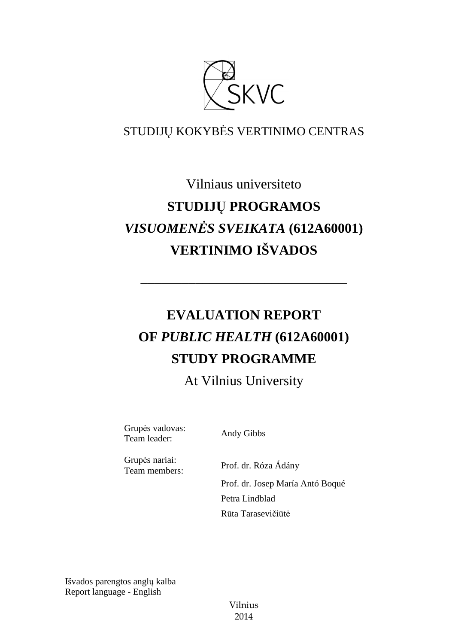

## STUDIJŲ KOKYBĖS VERTINIMO CENTRAS

# Vilniaus universiteto **STUDIJŲ PROGRAMOS**  *VISUOMENĖS SVEIKATA* **(612A60001) VERTINIMO IŠVADOS**

# **EVALUATION REPORT OF** *PUBLIC HEALTH* **(612A60001) STUDY PROGRAMME**

––––––––––––––––––––––––––––––

At Vilnius University

Grupės vadovas: Team leader: Andy Gibbs

Grupės nariai:

Team members: Prof. dr. Róza Ádány Prof. dr. Josep María Antó Boqué Petra Lindblad Rūta Tarasevičiūtė

Išvados parengtos anglų kalba Report language - English

> Vilnius 2014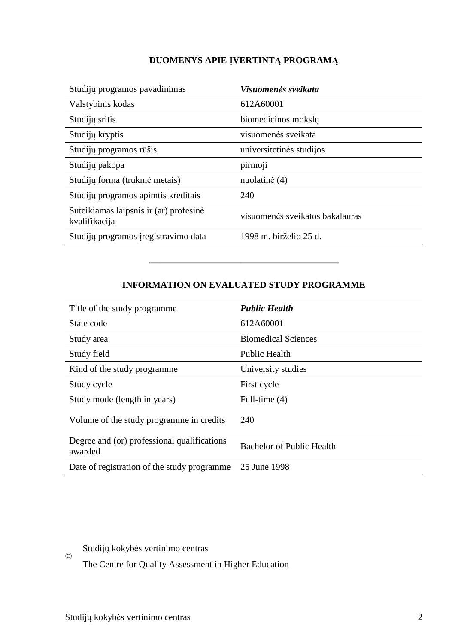### **DUOMENYS APIE ĮVERTINTĄ PROGRAMĄ**

| Studijų programos pavadinimas                           | Visuomenės sveikata             |
|---------------------------------------------------------|---------------------------------|
| Valstybinis kodas                                       | 612A60001                       |
| Studijų sritis                                          | biomedicinos mokslų             |
| Studijų kryptis                                         | visuomenės sveikata             |
| Studijų programos rūšis                                 | universitetinės studijos        |
| Studijų pakopa                                          | pirmoji                         |
| Studijų forma (trukmė metais)                           | nuolatinė (4)                   |
| Studijų programos apimtis kreditais                     | 240                             |
| Suteikiamas laipsnis ir (ar) profesinė<br>kvalifikacija | visuomenės sveikatos bakalauras |
| Studijų programos įregistravimo data                    | 1998 m. birželio 25 d.          |

### **INFORMATION ON EVALUATED STUDY PROGRAMME**

–––––––––––––––––––––––––––––––

| Title of the study programme.                          | <b>Public Health</b>             |
|--------------------------------------------------------|----------------------------------|
| State code                                             | 612A60001                        |
| Study area                                             | <b>Biomedical Sciences</b>       |
| Study field                                            | <b>Public Health</b>             |
| Kind of the study programme.                           | University studies               |
| Study cycle                                            | First cycle                      |
| Study mode (length in years)                           | Full-time (4)                    |
| Volume of the study programme in credits               | 240                              |
| Degree and (or) professional qualifications<br>awarded | <b>Bachelor of Public Health</b> |
| Date of registration of the study programme            | 25 June 1998                     |

Studijų kokybės vertinimo centras ©

The Centre for Quality Assessment in Higher Education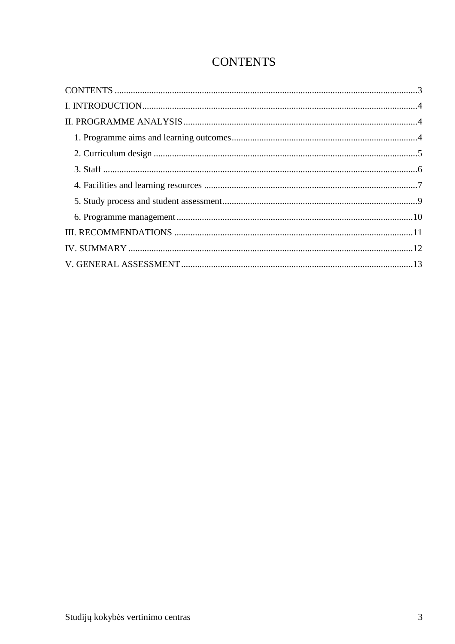## **CONTENTS**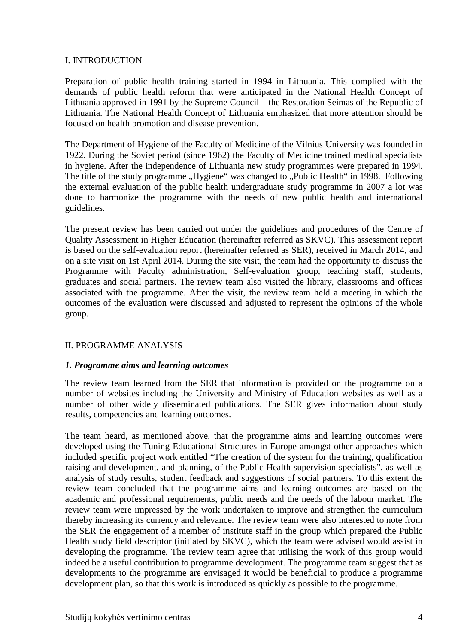#### I. INTRODUCTION

Preparation of public health training started in 1994 in Lithuania. This complied with the demands of public health reform that were anticipated in the National Health Concept of Lithuania approved in 1991 by the Supreme Council – the Restoration Seimas of the Republic of Lithuania. The National Health Concept of Lithuania emphasized that more attention should be focused on health promotion and disease prevention.

The Department of Hygiene of the Faculty of Medicine of the Vilnius University was founded in 1922. During the Soviet period (since 1962) the Faculty of Medicine trained medical specialists in hygiene. After the independence of Lithuania new study programmes were prepared in 1994. The title of the study programme "Hygiene" was changed to "Public Health" in 1998. Following the external evaluation of the public health undergraduate study programme in 2007 a lot was done to harmonize the programme with the needs of new public health and international guidelines.

The present review has been carried out under the guidelines and procedures of the Centre of Quality Assessment in Higher Education (hereinafter referred as SKVC). This assessment report is based on the self-evaluation report (hereinafter referred as SER), received in March 2014, and on a site visit on 1st April 2014. During the site visit, the team had the opportunity to discuss the Programme with Faculty administration, Self-evaluation group, teaching staff, students, graduates and social partners. The review team also visited the library, classrooms and offices associated with the programme. After the visit, the review team held a meeting in which the outcomes of the evaluation were discussed and adjusted to represent the opinions of the whole group.

#### II. PROGRAMME ANALYSIS

#### *1. Programme aims and learning outcomes*

The review team learned from the SER that information is provided on the programme on a number of websites including the University and Ministry of Education websites as well as a number of other widely disseminated publications. The SER gives information about study results, competencies and learning outcomes.

The team heard, as mentioned above, that the programme aims and learning outcomes were developed using the Tuning Educational Structures in Europe amongst other approaches which included specific project work entitled "The creation of the system for the training, qualification raising and development, and planning, of the Public Health supervision specialists", as well as analysis of study results, student feedback and suggestions of social partners. To this extent the review team concluded that the programme aims and learning outcomes are based on the academic and professional requirements, public needs and the needs of the labour market. The review team were impressed by the work undertaken to improve and strengthen the curriculum thereby increasing its currency and relevance. The review team were also interested to note from the SER the engagement of a member of institute staff in the group which prepared the Public Health study field descriptor (initiated by SKVC), which the team were advised would assist in developing the programme*.* The review team agree that utilising the work of this group would indeed be a useful contribution to programme development. The programme team suggest that as developments to the programme are envisaged it would be beneficial to produce a programme development plan, so that this work is introduced as quickly as possible to the programme.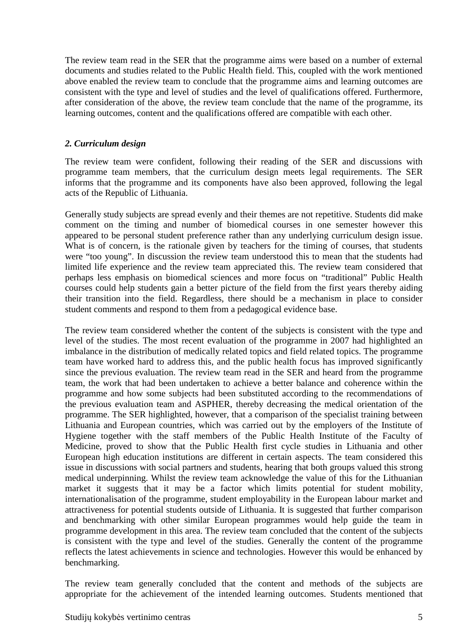The review team read in the SER that the programme aims were based on a number of external documents and studies related to the Public Health field. This, coupled with the work mentioned above enabled the review team to conclude that the programme aims and learning outcomes are consistent with the type and level of studies and the level of qualifications offered. Furthermore, after consideration of the above, the review team conclude that the name of the programme, its learning outcomes, content and the qualifications offered are compatible with each other.

#### *2. Curriculum design*

The review team were confident, following their reading of the SER and discussions with programme team members, that the curriculum design meets legal requirements. The SER informs that the programme and its components have also been approved, following the legal acts of the Republic of Lithuania.

Generally study subjects are spread evenly and their themes are not repetitive. Students did make comment on the timing and number of biomedical courses in one semester however this appeared to be personal student preference rather than any underlying curriculum design issue. What is of concern, is the rationale given by teachers for the timing of courses, that students were "too young". In discussion the review team understood this to mean that the students had limited life experience and the review team appreciated this. The review team considered that perhaps less emphasis on biomedical sciences and more focus on "traditional" Public Health courses could help students gain a better picture of the field from the first years thereby aiding their transition into the field. Regardless, there should be a mechanism in place to consider student comments and respond to them from a pedagogical evidence base.

The review team considered whether the content of the subjects is consistent with the type and level of the studies. The most recent evaluation of the programme in 2007 had highlighted an imbalance in the distribution of medically related topics and field related topics. The programme team have worked hard to address this, and the public health focus has improved significantly since the previous evaluation. The review team read in the SER and heard from the programme team, the work that had been undertaken to achieve a better balance and coherence within the programme and how some subjects had been substituted according to the recommendations of the previous evaluation team and ASPHER, thereby decreasing the medical orientation of the programme. The SER highlighted, however, that a comparison of the specialist training between Lithuania and European countries, which was carried out by the employers of the Institute of Hygiene together with the staff members of the Public Health Institute of the Faculty of Medicine, proved to show that the Public Health first cycle studies in Lithuania and other European high education institutions are different in certain aspects. The team considered this issue in discussions with social partners and students, hearing that both groups valued this strong medical underpinning. Whilst the review team acknowledge the value of this for the Lithuanian market it suggests that it may be a factor which limits potential for student mobility, internationalisation of the programme, student employability in the European labour market and attractiveness for potential students outside of Lithuania. It is suggested that further comparison and benchmarking with other similar European programmes would help guide the team in programme development in this area. The review team concluded that the content of the subjects is consistent with the type and level of the studies. Generally the content of the programme reflects the latest achievements in science and technologies. However this would be enhanced by benchmarking.

The review team generally concluded that the content and methods of the subjects are appropriate for the achievement of the intended learning outcomes. Students mentioned that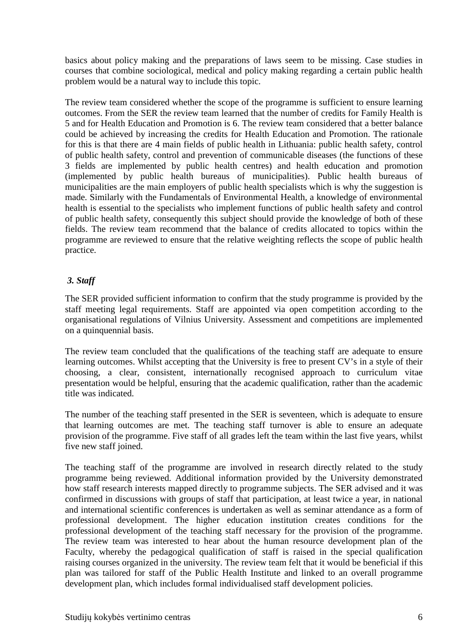basics about policy making and the preparations of laws seem to be missing. Case studies in courses that combine sociological, medical and policy making regarding a certain public health problem would be a natural way to include this topic.

The review team considered whether the scope of the programme is sufficient to ensure learning outcomes. From the SER the review team learned that the number of credits for Family Health is 5 and for Health Education and Promotion is 6. The review team considered that a better balance could be achieved by increasing the credits for Health Education and Promotion. The rationale for this is that there are 4 main fields of public health in Lithuania: public health safety, control of public health safety, control and prevention of communicable diseases (the functions of these 3 fields are implemented by public health centres) and health education and promotion (implemented by public health bureaus of municipalities). Public health bureaus of municipalities are the main employers of public health specialists which is why the suggestion is made. Similarly with the Fundamentals of Environmental Health, a knowledge of environmental health is essential to the specialists who implement functions of public health safety and control of public health safety, consequently this subject should provide the knowledge of both of these fields. The review team recommend that the balance of credits allocated to topics within the programme are reviewed to ensure that the relative weighting reflects the scope of public health practice.

#### *3. Staff*

The SER provided sufficient information to confirm that the study programme is provided by the staff meeting legal requirements. Staff are appointed via open competition according to the organisational regulations of Vilnius University. Assessment and competitions are implemented on a quinquennial basis.

The review team concluded that the qualifications of the teaching staff are adequate to ensure learning outcomes. Whilst accepting that the University is free to present CV's in a style of their choosing, a clear, consistent, internationally recognised approach to curriculum vitae presentation would be helpful, ensuring that the academic qualification, rather than the academic title was indicated.

The number of the teaching staff presented in the SER is seventeen, which is adequate to ensure that learning outcomes are met. The teaching staff turnover is able to ensure an adequate provision of the programme. Five staff of all grades left the team within the last five years, whilst five new staff joined.

The teaching staff of the programme are involved in research directly related to the study programme being reviewed. Additional information provided by the University demonstrated how staff research interests mapped directly to programme subjects. The SER advised and it was confirmed in discussions with groups of staff that participation, at least twice a year, in national and international scientific conferences is undertaken as well as seminar attendance as a form of professional development. The higher education institution creates conditions for the professional development of the teaching staff necessary for the provision of the programme. The review team was interested to hear about the human resource development plan of the Faculty, whereby the pedagogical qualification of staff is raised in the special qualification raising courses organized in the university. The review team felt that it would be beneficial if this plan was tailored for staff of the Public Health Institute and linked to an overall programme development plan, which includes formal individualised staff development policies.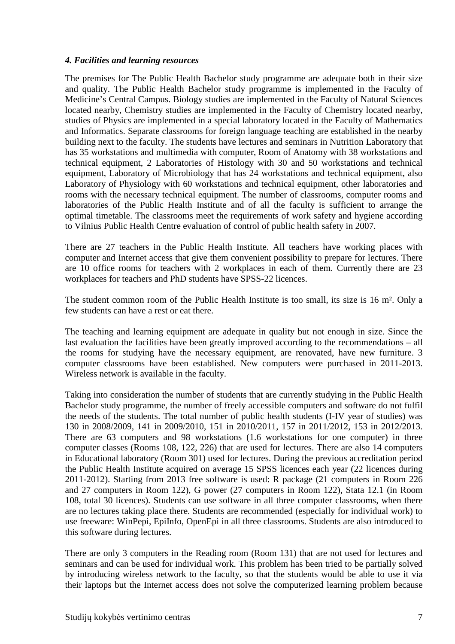#### *4. Facilities and learning resources*

The premises for The Public Health Bachelor study programme are adequate both in their size and quality. The Public Health Bachelor study programme is implemented in the Faculty of Medicine's Central Campus. Biology studies are implemented in the Faculty of Natural Sciences located nearby, Chemistry studies are implemented in the Faculty of Chemistry located nearby, studies of Physics are implemented in a special laboratory located in the Faculty of Mathematics and Informatics. Separate classrooms for foreign language teaching are established in the nearby building next to the faculty. The students have lectures and seminars in Nutrition Laboratory that has 35 workstations and multimedia with computer, Room of Anatomy with 38 workstations and technical equipment, 2 Laboratories of Histology with 30 and 50 workstations and technical equipment, Laboratory of Microbiology that has 24 workstations and technical equipment, also Laboratory of Physiology with 60 workstations and technical equipment, other laboratories and rooms with the necessary technical equipment. The number of classrooms, computer rooms and laboratories of the Public Health Institute and of all the faculty is sufficient to arrange the optimal timetable. The classrooms meet the requirements of work safety and hygiene according to Vilnius Public Health Centre evaluation of control of public health safety in 2007.

There are 27 teachers in the Public Health Institute. All teachers have working places with computer and Internet access that give them convenient possibility to prepare for lectures. There are 10 office rooms for teachers with 2 workplaces in each of them. Currently there are 23 workplaces for teachers and PhD students have SPSS-22 licences.

The student common room of the Public Health Institute is too small, its size is 16 m². Only a few students can have a rest or eat there.

The teaching and learning equipment are adequate in quality but not enough in size. Since the last evaluation the facilities have been greatly improved according to the recommendations – all the rooms for studying have the necessary equipment, are renovated, have new furniture. 3 computer classrooms have been established. New computers were purchased in 2011-2013. Wireless network is available in the faculty.

Taking into consideration the number of students that are currently studying in the Public Health Bachelor study programme, the number of freely accessible computers and software do not fulfil the needs of the students. The total number of public health students (I-IV year of studies) was 130 in 2008/2009, 141 in 2009/2010, 151 in 2010/2011, 157 in 2011/2012, 153 in 2012/2013. There are 63 computers and 98 workstations (1.6 workstations for one computer) in three computer classes (Rooms 108, 122, 226) that are used for lectures. There are also 14 computers in Educational laboratory (Room 301) used for lectures. During the previous accreditation period the Public Health Institute acquired on average 15 SPSS licences each year (22 licences during 2011-2012). Starting from 2013 free software is used: R package (21 computers in Room 226 and 27 computers in Room 122), G power (27 computers in Room 122), Stata 12.1 (in Room 108, total 30 licences). Students can use software in all three computer classrooms, when there are no lectures taking place there. Students are recommended (especially for individual work) to use freeware: WinPepi, EpiInfo, OpenEpi in all three classrooms. Students are also introduced to this software during lectures.

There are only 3 computers in the Reading room (Room 131) that are not used for lectures and seminars and can be used for individual work. This problem has been tried to be partially solved by introducing wireless network to the faculty, so that the students would be able to use it via their laptops but the Internet access does not solve the computerized learning problem because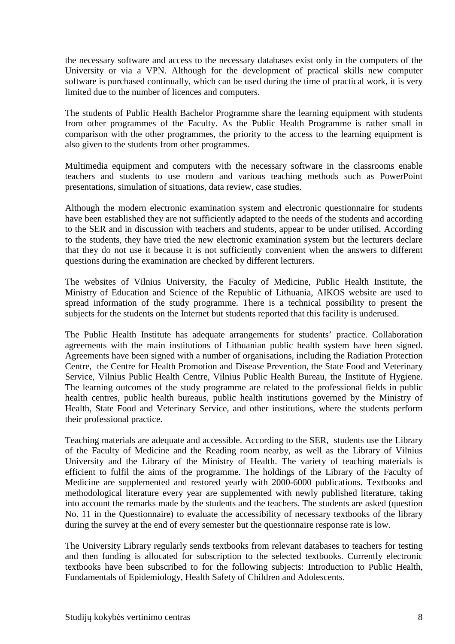the necessary software and access to the necessary databases exist only in the computers of the University or via a VPN. Although for the development of practical skills new computer software is purchased continually, which can be used during the time of practical work, it is very limited due to the number of licences and computers.

The students of Public Health Bachelor Programme share the learning equipment with students from other programmes of the Faculty. As the Public Health Programme is rather small in comparison with the other programmes, the priority to the access to the learning equipment is also given to the students from other programmes.

Multimedia equipment and computers with the necessary software in the classrooms enable teachers and students to use modern and various teaching methods such as PowerPoint presentations, simulation of situations, data review, case studies.

Although the modern electronic examination system and electronic questionnaire for students have been established they are not sufficiently adapted to the needs of the students and according to the SER and in discussion with teachers and students, appear to be under utilised. According to the students, they have tried the new electronic examination system but the lecturers declare that they do not use it because it is not sufficiently convenient when the answers to different questions during the examination are checked by different lecturers.

The websites of Vilnius University, the Faculty of Medicine, Public Health Institute, the Ministry of Education and Science of the Republic of Lithuania, AIKOS website are used to spread information of the study programme. There is a technical possibility to present the subjects for the students on the Internet but students reported that this facility is underused.

The Public Health Institute has adequate arrangements for students' practice. Collaboration agreements with the main institutions of Lithuanian public health system have been signed. Agreements have been signed with a number of organisations, including the Radiation Protection Centre, the Centre for Health Promotion and Disease Prevention, the State Food and Veterinary Service, Vilnius Public Health Centre, Vilnius Public Health Bureau, the Institute of Hygiene. The learning outcomes of the study programme are related to the professional fields in public health centres, public health bureaus, public health institutions governed by the Ministry of Health, State Food and Veterinary Service, and other institutions, where the students perform their professional practice.

Teaching materials are adequate and accessible. According to the SER, students use the Library of the Faculty of Medicine and the Reading room nearby, as well as the Library of Vilnius University and the Library of the Ministry of Health. The variety of teaching materials is efficient to fulfil the aims of the programme. The holdings of the Library of the Faculty of Medicine are supplemented and restored yearly with 2000-6000 publications. Textbooks and methodological literature every year are supplemented with newly published literature, taking into account the remarks made by the students and the teachers. The students are asked (question No. 11 in the Questionnaire) to evaluate the accessibility of necessary textbooks of the library during the survey at the end of every semester but the questionnaire response rate is low.

The University Library regularly sends textbooks from relevant databases to teachers for testing and then funding is allocated for subscription to the selected textbooks. Currently electronic textbooks have been subscribed to for the following subjects: Introduction to Public Health, Fundamentals of Epidemiology, Health Safety of Children and Adolescents.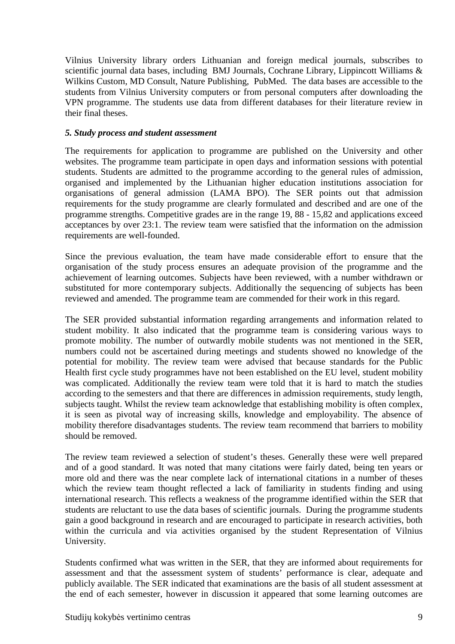Vilnius University library orders Lithuanian and foreign medical journals, subscribes to scientific journal data bases, including BMJ Journals, Cochrane Library, Lippincott Williams & Wilkins Custom, MD Consult, Nature Publishing, PubMed. The data bases are accessible to the students from Vilnius University computers or from personal computers after downloading the VPN programme. The students use data from different databases for their literature review in their final theses.

#### *5. Study process and student assessment*

The requirements for application to programme are published on the University and other websites. The programme team participate in open days and information sessions with potential students. Students are admitted to the programme according to the general rules of admission, organised and implemented by the Lithuanian higher education institutions association for organisations of general admission (LAMA BPO). The SER points out that admission requirements for the study programme are clearly formulated and described and are one of the programme strengths. Competitive grades are in the range 19, 88 - 15,82 and applications exceed acceptances by over 23:1. The review team were satisfied that the information on the admission requirements are well-founded.

Since the previous evaluation, the team have made considerable effort to ensure that the organisation of the study process ensures an adequate provision of the programme and the achievement of learning outcomes. Subjects have been reviewed, with a number withdrawn or substituted for more contemporary subjects. Additionally the sequencing of subjects has been reviewed and amended. The programme team are commended for their work in this regard.

The SER provided substantial information regarding arrangements and information related to student mobility. It also indicated that the programme team is considering various ways to promote mobility. The number of outwardly mobile students was not mentioned in the SER, numbers could not be ascertained during meetings and students showed no knowledge of the potential for mobility. The review team were advised that because standards for the Public Health first cycle study programmes have not been established on the EU level, student mobility was complicated. Additionally the review team were told that it is hard to match the studies according to the semesters and that there are differences in admission requirements, study length, subjects taught. Whilst the review team acknowledge that establishing mobility is often complex, it is seen as pivotal way of increasing skills, knowledge and employability. The absence of mobility therefore disadvantages students. The review team recommend that barriers to mobility should be removed.

The review team reviewed a selection of student's theses. Generally these were well prepared and of a good standard. It was noted that many citations were fairly dated, being ten years or more old and there was the near complete lack of international citations in a number of theses which the review team thought reflected a lack of familiarity in students finding and using international research. This reflects a weakness of the programme identified within the SER that students are reluctant to use the data bases of scientific journals. During the programme students gain a good background in research and are encouraged to participate in research activities, both within the curricula and via activities organised by the student Representation of Vilnius University.

Students confirmed what was written in the SER, that they are informed about requirements for assessment and that the assessment system of students' performance is clear, adequate and publicly available. The SER indicated that examinations are the basis of all student assessment at the end of each semester, however in discussion it appeared that some learning outcomes are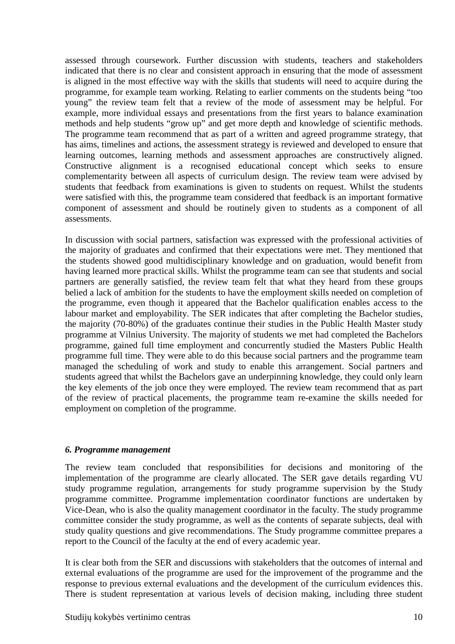assessed through coursework. Further discussion with students, teachers and stakeholders indicated that there is no clear and consistent approach in ensuring that the mode of assessment is aligned in the most effective way with the skills that students will need to acquire during the programme, for example team working. Relating to earlier comments on the students being "too young" the review team felt that a review of the mode of assessment may be helpful. For example, more individual essays and presentations from the first years to balance examination methods and help students "grow up" and get more depth and knowledge of scientific methods. The programme team recommend that as part of a written and agreed programme strategy, that has aims, timelines and actions, the assessment strategy is reviewed and developed to ensure that learning outcomes, learning methods and assessment approaches are constructively aligned. Constructive alignment is a recognised educational concept which seeks to ensure complementarity between all aspects of curriculum design. The review team were advised by students that feedback from examinations is given to students on request. Whilst the students were satisfied with this, the programme team considered that feedback is an important formative component of assessment and should be routinely given to students as a component of all assessments.

In discussion with social partners, satisfaction was expressed with the professional activities of the majority of graduates and confirmed that their expectations were met. They mentioned that the students showed good multidisciplinary knowledge and on graduation, would benefit from having learned more practical skills. Whilst the programme team can see that students and social partners are generally satisfied, the review team felt that what they heard from these groups belied a lack of ambition for the students to have the employment skills needed on completion of the programme, even though it appeared that the Bachelor qualification enables access to the labour market and employability. The SER indicates that after completing the Bachelor studies, the majority (70-80%) of the graduates continue their studies in the Public Health Master study programme at Vilnius University. The majority of students we met had completed the Bachelors programme, gained full time employment and concurrently studied the Masters Public Health programme full time. They were able to do this because social partners and the programme team managed the scheduling of work and study to enable this arrangement. Social partners and students agreed that whilst the Bachelors gave an underpinning knowledge, they could only learn the key elements of the job once they were employed. The review team recommend that as part of the review of practical placements, the programme team re-examine the skills needed for employment on completion of the programme.

#### *6. Programme management*

The review team concluded that responsibilities for decisions and monitoring of the implementation of the programme are clearly allocated. The SER gave details regarding VU study programme regulation, arrangements for study programme supervision by the Study programme committee. Programme implementation coordinator functions are undertaken by Vice-Dean, who is also the quality management coordinator in the faculty. The study programme committee consider the study programme, as well as the contents of separate subjects, deal with study quality questions and give recommendations. The Study programme committee prepares a report to the Council of the faculty at the end of every academic year.

It is clear both from the SER and discussions with stakeholders that the outcomes of internal and external evaluations of the programme are used for the improvement of the programme and the response to previous external evaluations and the development of the curriculum evidences this. There is student representation at various levels of decision making, including three student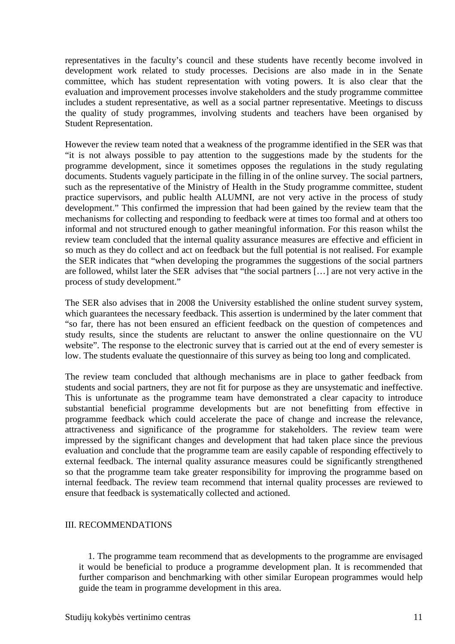representatives in the faculty's council and these students have recently become involved in development work related to study processes. Decisions are also made in in the Senate committee, which has student representation with voting powers. It is also clear that the evaluation and improvement processes involve stakeholders and the study programme committee includes a student representative, as well as a social partner representative. Meetings to discuss the quality of study programmes, involving students and teachers have been organised by Student Representation.

However the review team noted that a weakness of the programme identified in the SER was that "it is not always possible to pay attention to the suggestions made by the students for the programme development, since it sometimes opposes the regulations in the study regulating documents. Students vaguely participate in the filling in of the online survey. The social partners, such as the representative of the Ministry of Health in the Study programme committee, student practice supervisors, and public health ALUMNI, are not very active in the process of study development." This confirmed the impression that had been gained by the review team that the mechanisms for collecting and responding to feedback were at times too formal and at others too informal and not structured enough to gather meaningful information. For this reason whilst the review team concluded that the internal quality assurance measures are effective and efficient in so much as they do collect and act on feedback but the full potential is not realised. For example the SER indicates that "when developing the programmes the suggestions of the social partners are followed, whilst later the SER advises that "the social partners […] are not very active in the process of study development."

The SER also advises that in 2008 the University established the online student survey system, which guarantees the necessary feedback. This assertion is undermined by the later comment that "so far, there has not been ensured an efficient feedback on the question of competences and study results, since the students are reluctant to answer the online questionnaire on the VU website". The response to the electronic survey that is carried out at the end of every semester is low. The students evaluate the questionnaire of this survey as being too long and complicated.

The review team concluded that although mechanisms are in place to gather feedback from students and social partners, they are not fit for purpose as they are unsystematic and ineffective. This is unfortunate as the programme team have demonstrated a clear capacity to introduce substantial beneficial programme developments but are not benefitting from effective in programme feedback which could accelerate the pace of change and increase the relevance, attractiveness and significance of the programme for stakeholders. The review team were impressed by the significant changes and development that had taken place since the previous evaluation and conclude that the programme team are easily capable of responding effectively to external feedback. The internal quality assurance measures could be significantly strengthened so that the programme team take greater responsibility for improving the programme based on internal feedback. The review team recommend that internal quality processes are reviewed to ensure that feedback is systematically collected and actioned.

#### III. RECOMMENDATIONS

 1. The programme team recommend that as developments to the programme are envisaged it would be beneficial to produce a programme development plan. It is recommended that further comparison and benchmarking with other similar European programmes would help guide the team in programme development in this area.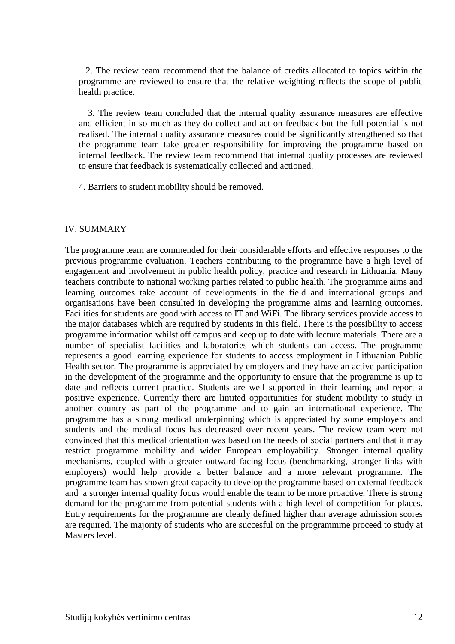2. The review team recommend that the balance of credits allocated to topics within the programme are reviewed to ensure that the relative weighting reflects the scope of public health practice.

 3. The review team concluded that the internal quality assurance measures are effective and efficient in so much as they do collect and act on feedback but the full potential is not realised. The internal quality assurance measures could be significantly strengthened so that the programme team take greater responsibility for improving the programme based on internal feedback. The review team recommend that internal quality processes are reviewed to ensure that feedback is systematically collected and actioned.

4. Barriers to student mobility should be removed.

#### IV. SUMMARY

The programme team are commended for their considerable efforts and effective responses to the previous programme evaluation. Teachers contributing to the programme have a high level of engagement and involvement in public health policy, practice and research in Lithuania. Many teachers contribute to national working parties related to public health. The programme aims and learning outcomes take account of developments in the field and international groups and organisations have been consulted in developing the programme aims and learning outcomes. Facilities for students are good with access to IT and WiFi. The library services provide access to the major databases which are required by students in this field. There is the possibility to access programme information whilst off campus and keep up to date with lecture materials. There are a number of specialist facilities and laboratories which students can access. The programme represents a good learning experience for students to access employment in Lithuanian Public Health sector. The programme is appreciated by employers and they have an active participation in the development of the programme and the opportunity to ensure that the programme is up to date and reflects current practice. Students are well supported in their learning and report a positive experience. Currently there are limited opportunities for student mobility to study in another country as part of the programme and to gain an international experience. The programme has a strong medical underpinning which is appreciated by some employers and students and the medical focus has decreased over recent years. The review team were not convinced that this medical orientation was based on the needs of social partners and that it may restrict programme mobility and wider European employability. Stronger internal quality mechanisms, coupled with a greater outward facing focus (benchmarking, stronger links with employers) would help provide a better balance and a more relevant programme. The programme team has shown great capacity to develop the programme based on external feedback and a stronger internal quality focus would enable the team to be more proactive. There is strong demand for the programme from potential students with a high level of competition for places. Entry requirements for the programme are clearly defined higher than average admission scores are required. The majority of students who are succesful on the programmme proceed to study at Masters level.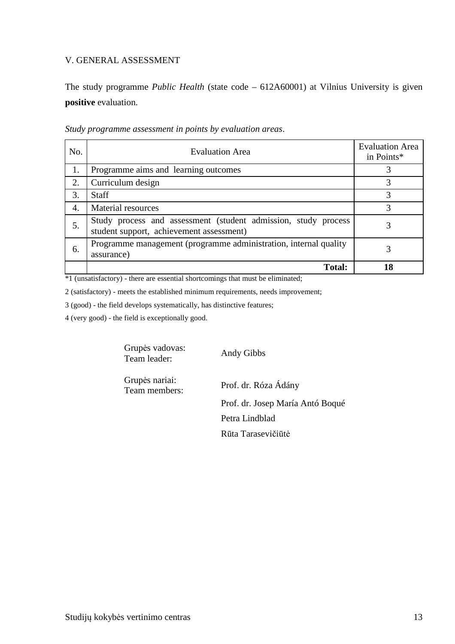#### V. GENERAL ASSESSMENT

The study programme *Public Health* (state code – 612A60001) at Vilnius University is given **positive** evaluation.

| No. | <b>Evaluation Area</b>                                                                                     | <b>Evaluation Area</b><br>in Points* |
|-----|------------------------------------------------------------------------------------------------------------|--------------------------------------|
| 1.  | Programme aims and learning outcomes                                                                       |                                      |
| 2.  | Curriculum design                                                                                          | 3                                    |
| 3.  | <b>Staff</b>                                                                                               | 3                                    |
| 4.  | <b>Material resources</b>                                                                                  | 3                                    |
| 5.  | Study process and assessment (student admission, study process<br>student support, achievement assessment) | 3                                    |
| 6.  | Programme management (programme administration, internal quality<br>assurance)                             | 3                                    |
|     | <b>Total:</b>                                                                                              | 18                                   |

*Study programme assessment in points by evaluation areas*.

\*1 (unsatisfactory) - there are essential shortcomings that must be eliminated;

2 (satisfactory) - meets the established minimum requirements, needs improvement;

3 (good) - the field develops systematically, has distinctive features;

4 (very good) - the field is exceptionally good.

Grupės vadovas: Team leader: Andy Gibbs

Grupės nariai:

Prof. dr. Róza Ádány Prof. dr. Josep María Antó Boqué Petra Lindblad Rūta Tarasevičiūtė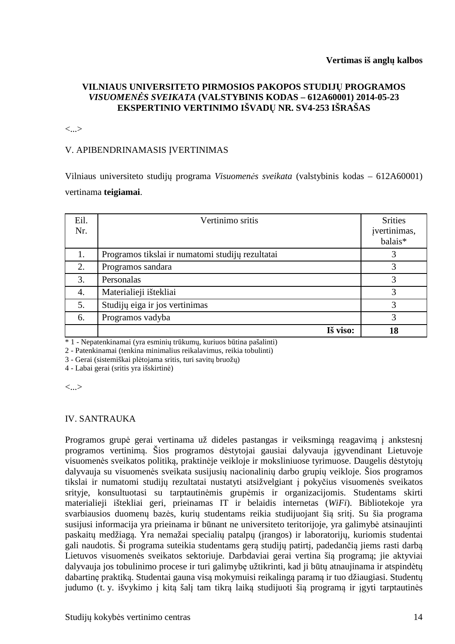#### **VILNIAUS UNIVERSITETO PIRMOSIOS PAKOPOS STUDIJŲ PROGRAMOS**  *VISUOMENĖS SVEIKATA* **(VALSTYBINIS KODAS – 612A60001) 2014-05-23 EKSPERTINIO VERTINIMO IŠVADŲ NR. SV4-253 IŠRAŠAS**

<...>

#### V. APIBENDRINAMASIS ĮVERTINIMAS

Vilniaus universiteto studijų programa *Visuomenės sveikata* (valstybinis kodas – 612A60001) vertinama **teigiamai**.

| Eil.<br>Nr. | Vertinimo sritis                                 | <b>Srities</b><br>įvertinimas,<br>balais* |
|-------------|--------------------------------------------------|-------------------------------------------|
| 1.          | Programos tikslai ir numatomi studijų rezultatai |                                           |
| 2.          | Programos sandara                                |                                           |
| 3.          | Personalas                                       |                                           |
| 4.          | Materialieji ištekliai                           | 3                                         |
| 5.          | Studijų eiga ir jos vertinimas                   | 3                                         |
| 6.          | Programos vadyba                                 | 3                                         |
|             | Iš viso:                                         | 18                                        |

\* 1 - Nepatenkinamai (yra esminių trūkumų, kuriuos būtina pašalinti)

2 - Patenkinamai (tenkina minimalius reikalavimus, reikia tobulinti)

3 - Gerai (sistemiškai plėtojama sritis, turi savitų bruožų)

4 - Labai gerai (sritis yra išskirtinė)

<...>

#### IV. SANTRAUKA

Programos grupė gerai vertinama už dideles pastangas ir veiksmingą reagavimą į ankstesnį programos vertinimą. Šios programos dėstytojai gausiai dalyvauja įgyvendinant Lietuvoje visuomenės sveikatos politiką, praktinėje veikloje ir moksliniuose tyrimuose. Daugelis dėstytojų dalyvauja su visuomenės sveikata susijusių nacionalinių darbo grupių veikloje. Šios programos tikslai ir numatomi studijų rezultatai nustatyti atsižvelgiant į pokyčius visuomenės sveikatos srityje, konsultuotasi su tarptautinėmis grupėmis ir organizacijomis. Studentams skirti materialieji ištekliai geri, prieinamas IT ir belaidis internetas (*WiFi*). Bibliotekoje yra svarbiausios duomenų bazės, kurių studentams reikia studijuojant šią sritį. Su šia programa susijusi informacija yra prieinama ir būnant ne universiteto teritorijoje, yra galimybė atsinaujinti paskaitų medžiagą. Yra nemažai specialių patalpų (įrangos) ir laboratorijų, kuriomis studentai gali naudotis. Ši programa suteikia studentams gerą studijų patirtį, padedančią jiems rasti darbą Lietuvos visuomenės sveikatos sektoriuje. Darbdaviai gerai vertina šią programą; jie aktyviai dalyvauja jos tobulinimo procese ir turi galimybę užtikrinti, kad ji būtų atnaujinama ir atspindėtų dabartinę praktiką. Studentai gauna visą mokymuisi reikalingą paramą ir tuo džiaugiasi. Studentų judumo (t. y. išvykimo į kitą šalį tam tikrą laiką studijuoti šią programą ir įgyti tarptautinės